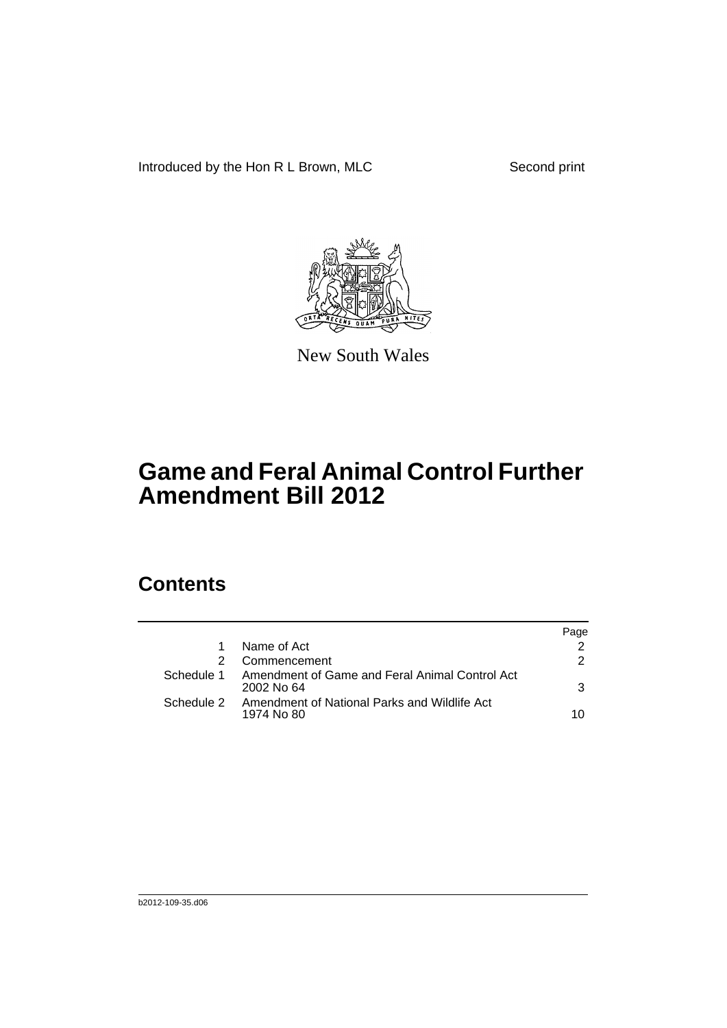Introduced by the Hon R L Brown, MLC Second print



New South Wales

# **Game and Feral Animal Control Further Amendment Bill 2012**

### **Contents**

|            |                                                              | Page |
|------------|--------------------------------------------------------------|------|
|            | Name of Act                                                  |      |
|            | Commencement                                                 | 2    |
| Schedule 1 | Amendment of Game and Feral Animal Control Act<br>2002 No 64 | 3    |
| Schedule 2 | Amendment of National Parks and Wildlife Act<br>1974 No 80   | 10   |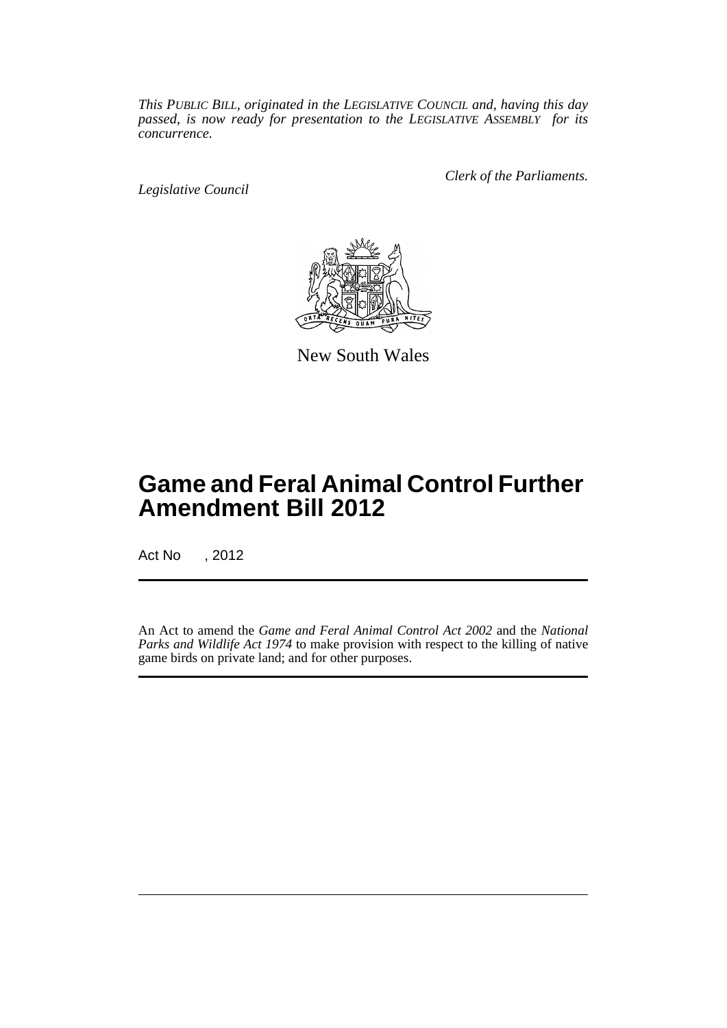*This PUBLIC BILL, originated in the LEGISLATIVE COUNCIL and, having this day passed, is now ready for presentation to the LEGISLATIVE ASSEMBLY for its concurrence.*

*Legislative Council*

*Clerk of the Parliaments.*



New South Wales

## **Game and Feral Animal Control Further Amendment Bill 2012**

Act No , 2012

An Act to amend the *Game and Feral Animal Control Act 2002* and the *National Parks and Wildlife Act 1974* to make provision with respect to the killing of native game birds on private land; and for other purposes.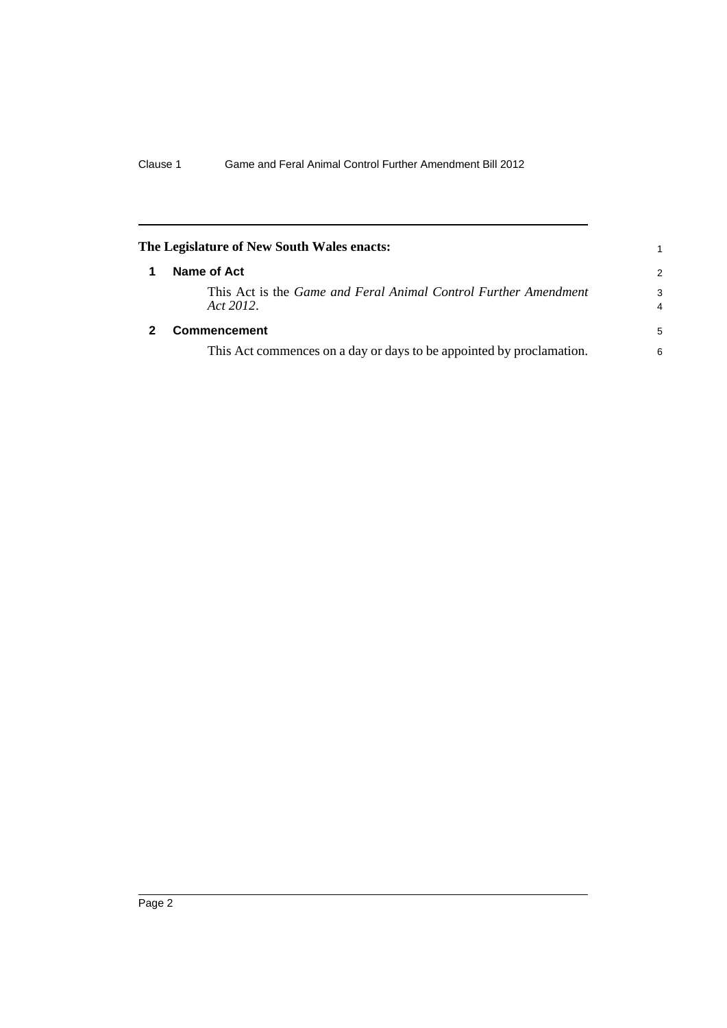<span id="page-3-1"></span><span id="page-3-0"></span>

| The Legislature of New South Wales enacts: |                                                                                     | 1.            |
|--------------------------------------------|-------------------------------------------------------------------------------------|---------------|
| 1                                          | Name of Act                                                                         | $\mathcal{P}$ |
|                                            | This Act is the <i>Game and Feral Animal Control Further Amendment</i><br>Act 2012. | 3<br>4        |
|                                            | <b>Commencement</b>                                                                 | 5             |
|                                            | This Act commences on a day or days to be appointed by proclamation.                | 6             |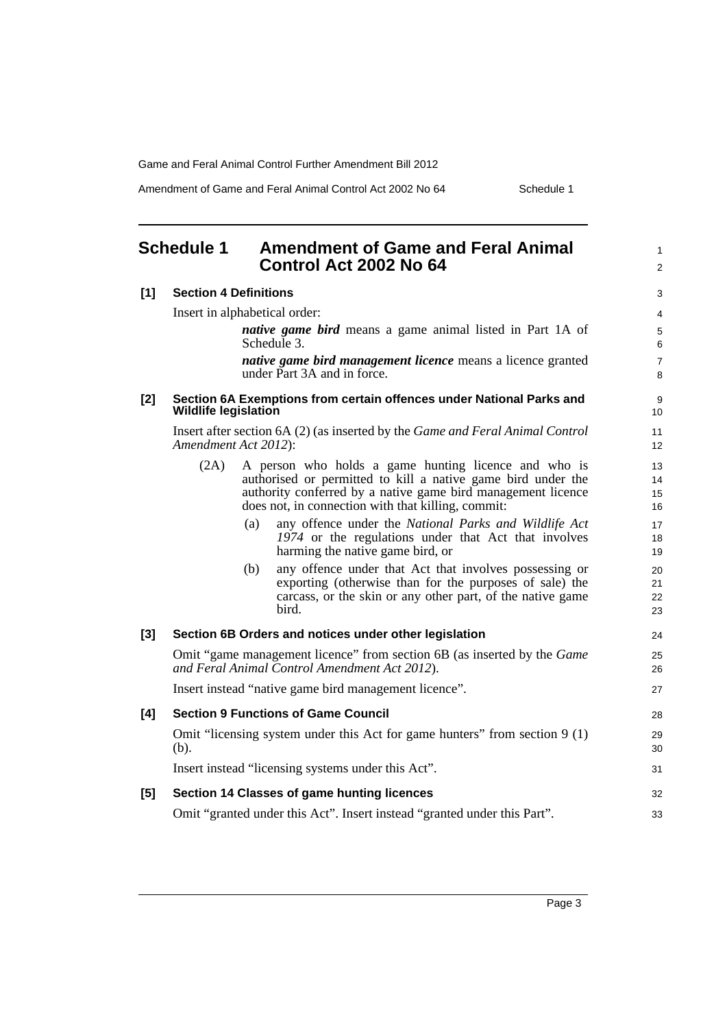Amendment of Game and Feral Animal Control Act 2002 No 64 Schedule 1

<span id="page-4-0"></span>

| <b>Schedule 1</b> |                              | <b>Amendment of Game and Feral Animal</b><br>Control Act 2002 No 64                                                                                                                                                                        | $\mathbf{1}$<br>$\overline{2}$ |
|-------------------|------------------------------|--------------------------------------------------------------------------------------------------------------------------------------------------------------------------------------------------------------------------------------------|--------------------------------|
| $[1]$             | <b>Section 4 Definitions</b> |                                                                                                                                                                                                                                            | 3                              |
|                   |                              | Insert in alphabetical order:                                                                                                                                                                                                              | 4                              |
|                   |                              | native game bird means a game animal listed in Part 1A of<br>Schedule 3.                                                                                                                                                                   | 5<br>6                         |
|                   |                              | native game bird management licence means a licence granted<br>under Part 3A and in force.                                                                                                                                                 | $\overline{7}$<br>8            |
| $[2]$             | <b>Wildlife legislation</b>  | Section 6A Exemptions from certain offences under National Parks and                                                                                                                                                                       | 9<br>10                        |
|                   |                              | Insert after section 6A (2) (as inserted by the <i>Game and Feral Animal Control</i><br>Amendment Act 2012):                                                                                                                               | 11<br>12                       |
|                   | (2A)                         | A person who holds a game hunting licence and who is<br>authorised or permitted to kill a native game bird under the<br>authority conferred by a native game bird management licence<br>does not, in connection with that killing, commit: | 13<br>14<br>15<br>16           |
|                   |                              | (a)<br>any offence under the National Parks and Wildlife Act<br>1974 or the regulations under that Act that involves<br>harming the native game bird, or                                                                                   | 17<br>18<br>19                 |
|                   |                              | any offence under that Act that involves possessing or<br>(b)<br>exporting (otherwise than for the purposes of sale) the<br>carcass, or the skin or any other part, of the native game<br>bird.                                            | 20<br>21<br>22<br>23           |
| $[3]$             |                              | Section 6B Orders and notices under other legislation                                                                                                                                                                                      | 24                             |
|                   |                              | Omit "game management licence" from section 6B (as inserted by the <i>Game</i><br>and Feral Animal Control Amendment Act 2012).                                                                                                            | 25<br>26                       |
|                   |                              | Insert instead "native game bird management licence".                                                                                                                                                                                      | 27                             |
| [4]               |                              | <b>Section 9 Functions of Game Council</b>                                                                                                                                                                                                 | 28                             |
|                   | (b).                         | Omit "licensing system under this Act for game hunters" from section 9 (1)                                                                                                                                                                 | 29<br>30                       |
|                   |                              | Insert instead "licensing systems under this Act".                                                                                                                                                                                         | 31                             |
| [5]               |                              | Section 14 Classes of game hunting licences                                                                                                                                                                                                | 32                             |
|                   |                              | Omit "granted under this Act". Insert instead "granted under this Part".                                                                                                                                                                   | 33                             |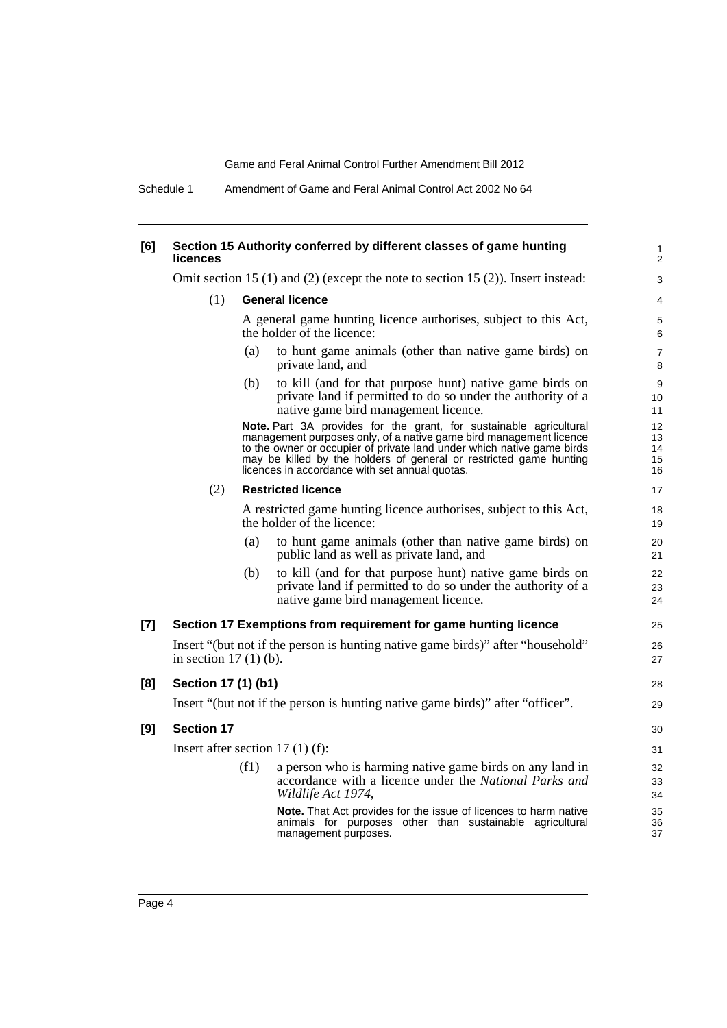Schedule 1 Amendment of Game and Feral Animal Control Act 2002 No 64

#### **[6] Section 15 Authority conferred by different classes of game hunting licences**

Omit section 15 (1) and (2) (except the note to section 15 (2)). Insert instead:

(1) **General licence**

A general game hunting licence authorises, subject to this Act, the holder of the licence:

**28** 29

- (a) to hunt game animals (other than native game birds) on private land, and
- (b) to kill (and for that purpose hunt) native game birds on private land if permitted to do so under the authority of a native game bird management licence.

**Note.** Part 3A provides for the grant, for sustainable agricultural management purposes only, of a native game bird management licence to the owner or occupier of private land under which native game birds may be killed by the holders of general or restricted game hunting licences in accordance with set annual quotas.

#### (2) **Restricted licence**

A restricted game hunting licence authorises, subject to this Act, the holder of the licence:

- (a) to hunt game animals (other than native game birds) on public land as well as private land, and
- (b) to kill (and for that purpose hunt) native game birds on private land if permitted to do so under the authority of a native game bird management licence.

#### **[7] Section 17 Exemptions from requirement for game hunting licence**

Insert "(but not if the person is hunting native game birds)" after "household" in section 17 (1) (b).

#### **[8] Section 17 (1) (b1)**

Insert "(but not if the person is hunting native game birds)" after "officer".

#### **[9] Section 17**

Insert after section 17 (1) (f):

(f1) a person who is harming native game birds on any land in accordance with a licence under the *National Parks and Wildlife Act 1974*,

> **Note.** That Act provides for the issue of licences to harm native animals for purposes other than sustainable agricultural management purposes.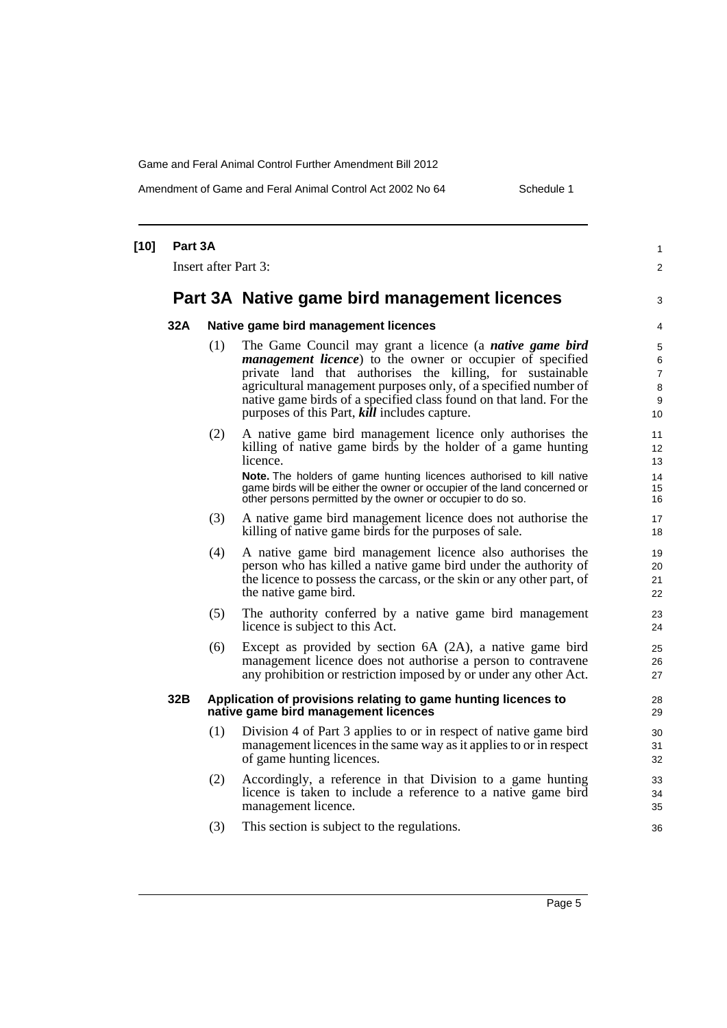Amendment of Game and Feral Animal Control Act 2002 No 64 Schedule 1

| $[10]$ | Part 3A |                             |                                                                                                                                                                                                                                                                                                                                                                                                    | 1                                        |
|--------|---------|-----------------------------|----------------------------------------------------------------------------------------------------------------------------------------------------------------------------------------------------------------------------------------------------------------------------------------------------------------------------------------------------------------------------------------------------|------------------------------------------|
|        |         | <b>Insert after Part 3:</b> |                                                                                                                                                                                                                                                                                                                                                                                                    | $\overline{2}$                           |
|        |         |                             | Part 3A Native game bird management licences                                                                                                                                                                                                                                                                                                                                                       | 3                                        |
|        | 32A     |                             | Native game bird management licences                                                                                                                                                                                                                                                                                                                                                               | 4                                        |
|        |         | (1)                         | The Game Council may grant a licence (a <i>native game bird</i><br><i>management licence</i> ) to the owner or occupier of specified<br>private land that authorises the killing, for sustainable<br>agricultural management purposes only, of a specified number of<br>native game birds of a specified class found on that land. For the<br>purposes of this Part, <i>kill</i> includes capture. | 5<br>6<br>$\overline{7}$<br>8<br>9<br>10 |
|        |         | (2)                         | A native game bird management licence only authorises the<br>killing of native game birds by the holder of a game hunting<br>licence.<br>Note. The holders of game hunting licences authorised to kill native<br>game birds will be either the owner or occupier of the land concerned or<br>other persons permitted by the owner or occupier to do so.                                            | 11<br>12<br>13<br>14<br>15<br>16         |
|        |         | (3)                         | A native game bird management licence does not authorise the<br>killing of native game birds for the purposes of sale.                                                                                                                                                                                                                                                                             | 17<br>18                                 |
|        |         | (4)                         | A native game bird management licence also authorises the<br>person who has killed a native game bird under the authority of<br>the licence to possess the carcass, or the skin or any other part, of<br>the native game bird.                                                                                                                                                                     | 19<br>20<br>21<br>22                     |
|        |         | (5)                         | The authority conferred by a native game bird management<br>licence is subject to this Act.                                                                                                                                                                                                                                                                                                        | 23<br>24                                 |
|        |         | (6)                         | Except as provided by section 6A (2A), a native game bird<br>management licence does not authorise a person to contravene<br>any prohibition or restriction imposed by or under any other Act.                                                                                                                                                                                                     | 25<br>26<br>27                           |
|        | 32B     |                             | Application of provisions relating to game hunting licences to<br>native game bird management licences                                                                                                                                                                                                                                                                                             | 28<br>29                                 |
|        |         | (1)                         | Division 4 of Part 3 applies to or in respect of native game bird<br>management licences in the same way as it applies to or in respect<br>of game hunting licences.                                                                                                                                                                                                                               | 30<br>31<br>32                           |
|        |         | (2)                         | Accordingly, a reference in that Division to a game hunting<br>licence is taken to include a reference to a native game bird<br>management licence.                                                                                                                                                                                                                                                | 33<br>34<br>35                           |
|        |         | (3)                         | This section is subject to the regulations.                                                                                                                                                                                                                                                                                                                                                        | 36                                       |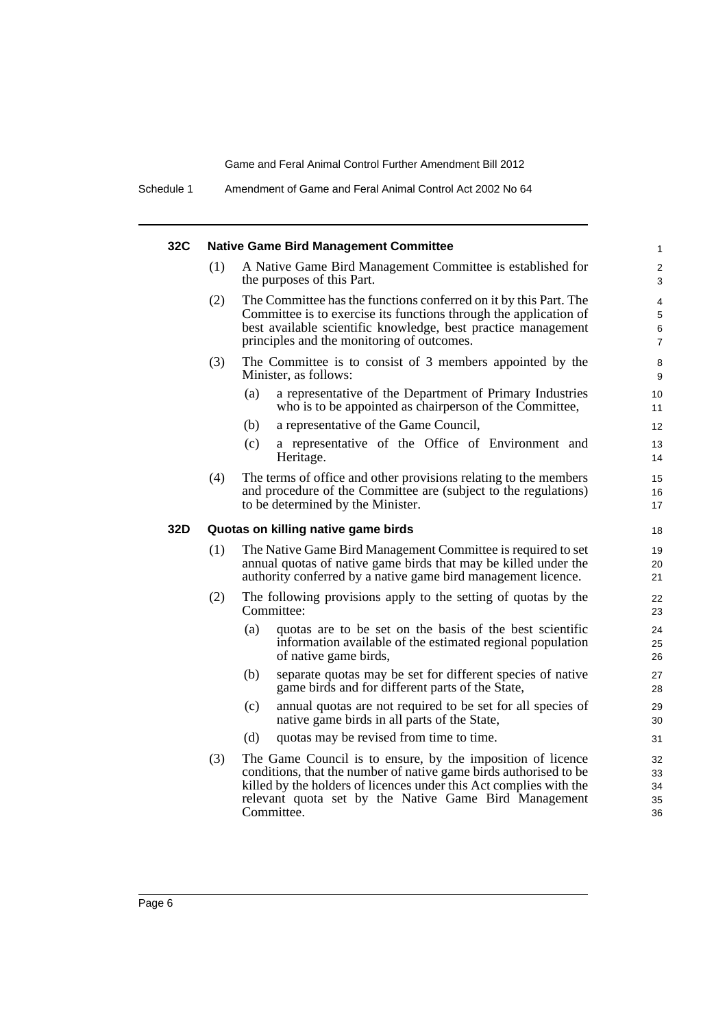| 32C |     | <b>Native Game Bird Management Committee</b>                                                                                                                                                                                                                                  | $\mathbf{1}$                    |
|-----|-----|-------------------------------------------------------------------------------------------------------------------------------------------------------------------------------------------------------------------------------------------------------------------------------|---------------------------------|
|     | (1) | A Native Game Bird Management Committee is established for<br>the purposes of this Part.                                                                                                                                                                                      | 2<br>3                          |
|     | (2) | The Committee has the functions conferred on it by this Part. The<br>Committee is to exercise its functions through the application of<br>best available scientific knowledge, best practice management<br>principles and the monitoring of outcomes.                         | 4<br>5<br>6<br>$\boldsymbol{7}$ |
|     | (3) | The Committee is to consist of 3 members appointed by the<br>Minister, as follows:                                                                                                                                                                                            | 8<br>9                          |
|     |     | (a)<br>a representative of the Department of Primary Industries<br>who is to be appointed as chairperson of the Committee,                                                                                                                                                    | 10<br>11                        |
|     |     | a representative of the Game Council,<br>(b)                                                                                                                                                                                                                                  | 12                              |
|     |     | a representative of the Office of Environment and<br>(c)<br>Heritage.                                                                                                                                                                                                         | 13<br>14                        |
|     | (4) | The terms of office and other provisions relating to the members<br>and procedure of the Committee are (subject to the regulations)<br>to be determined by the Minister.                                                                                                      | 15<br>16<br>17                  |
| 32D |     | Quotas on killing native game birds                                                                                                                                                                                                                                           | 18                              |
|     | (1) | The Native Game Bird Management Committee is required to set<br>annual quotas of native game birds that may be killed under the<br>authority conferred by a native game bird management licence.                                                                              | 19<br>20<br>21                  |
|     | (2) | The following provisions apply to the setting of quotas by the<br>Committee:                                                                                                                                                                                                  | 22<br>23                        |
|     |     | (a)<br>quotas are to be set on the basis of the best scientific<br>information available of the estimated regional population<br>of native game birds,                                                                                                                        | 24<br>25<br>26                  |
|     |     | separate quotas may be set for different species of native<br>(b)<br>game birds and for different parts of the State,                                                                                                                                                         | 27<br>28                        |
|     |     | (c)<br>annual quotas are not required to be set for all species of<br>native game birds in all parts of the State,                                                                                                                                                            | 29<br>30                        |
|     |     | quotas may be revised from time to time.<br>(d)                                                                                                                                                                                                                               | 31                              |
|     | (3) | The Game Council is to ensure, by the imposition of licence<br>conditions, that the number of native game birds authorised to be<br>killed by the holders of licences under this Act complies with the<br>relevant quota set by the Native Game Bird Management<br>Committee. | 32<br>33<br>34<br>35<br>36      |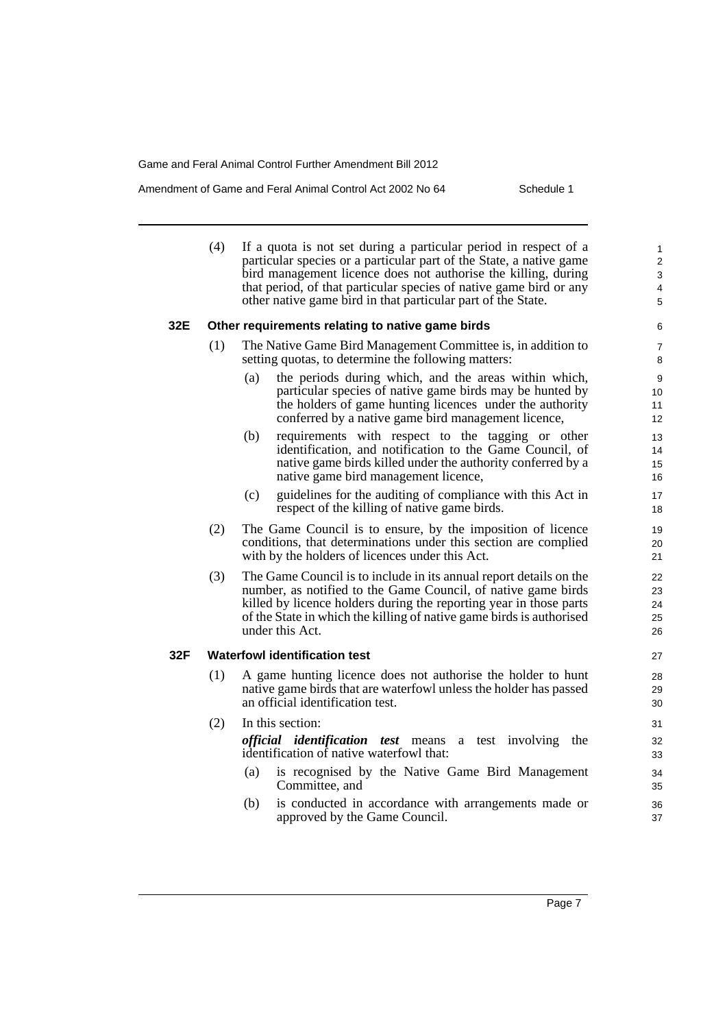Amendment of Game and Feral Animal Control Act 2002 No 64 Schedule 1

|     | (4) | If a quota is not set during a particular period in respect of a<br>particular species or a particular part of the State, a native game<br>bird management licence does not authorise the killing, during<br>that period, of that particular species of native game bird or any<br>other native game bird in that particular part of the State. | $\mathbf{1}$<br>2<br>3<br>4<br>5   |
|-----|-----|-------------------------------------------------------------------------------------------------------------------------------------------------------------------------------------------------------------------------------------------------------------------------------------------------------------------------------------------------|------------------------------------|
| 32E |     | Other requirements relating to native game birds                                                                                                                                                                                                                                                                                                | 6                                  |
|     | (1) | The Native Game Bird Management Committee is, in addition to<br>setting quotas, to determine the following matters:                                                                                                                                                                                                                             | 7<br>8                             |
|     |     | the periods during which, and the areas within which,<br>(a)<br>particular species of native game birds may be hunted by<br>the holders of game hunting licences under the authority<br>conferred by a native game bird management licence,                                                                                                     | $\boldsymbol{9}$<br>10<br>11<br>12 |
|     |     | requirements with respect to the tagging or other<br>(b)<br>identification, and notification to the Game Council, of<br>native game birds killed under the authority conferred by a<br>native game bird management licence,                                                                                                                     | 13<br>14<br>15<br>16               |
|     |     | guidelines for the auditing of compliance with this Act in<br>(c)<br>respect of the killing of native game birds.                                                                                                                                                                                                                               | 17<br>18                           |
|     | (2) | The Game Council is to ensure, by the imposition of licence<br>conditions, that determinations under this section are complied<br>with by the holders of licences under this Act.                                                                                                                                                               | 19<br>20<br>21                     |
|     | (3) | The Game Council is to include in its annual report details on the<br>number, as notified to the Game Council, of native game birds<br>killed by licence holders during the reporting year in those parts<br>of the State in which the killing of native game birds is authorised<br>under this Act.                                            | 22<br>23<br>24<br>25<br>26         |
| 32F |     | <b>Waterfowl identification test</b>                                                                                                                                                                                                                                                                                                            | 27                                 |
|     | (1) | A game hunting licence does not authorise the holder to hunt<br>native game birds that are waterfowl unless the holder has passed<br>an official identification test.                                                                                                                                                                           | 28<br>29<br>30                     |
|     | (2) | In this section:                                                                                                                                                                                                                                                                                                                                | 31                                 |
|     |     | <i>official identification test</i> means<br>test involving the<br>$\mathbf{a}$<br>identification of native waterfowl that:                                                                                                                                                                                                                     | 32<br>33                           |
|     |     | is recognised by the Native Game Bird Management<br>(a)<br>Committee, and                                                                                                                                                                                                                                                                       | 34<br>35                           |
|     |     | (b)<br>is conducted in accordance with arrangements made or<br>approved by the Game Council.                                                                                                                                                                                                                                                    | 36<br>37                           |
|     |     |                                                                                                                                                                                                                                                                                                                                                 |                                    |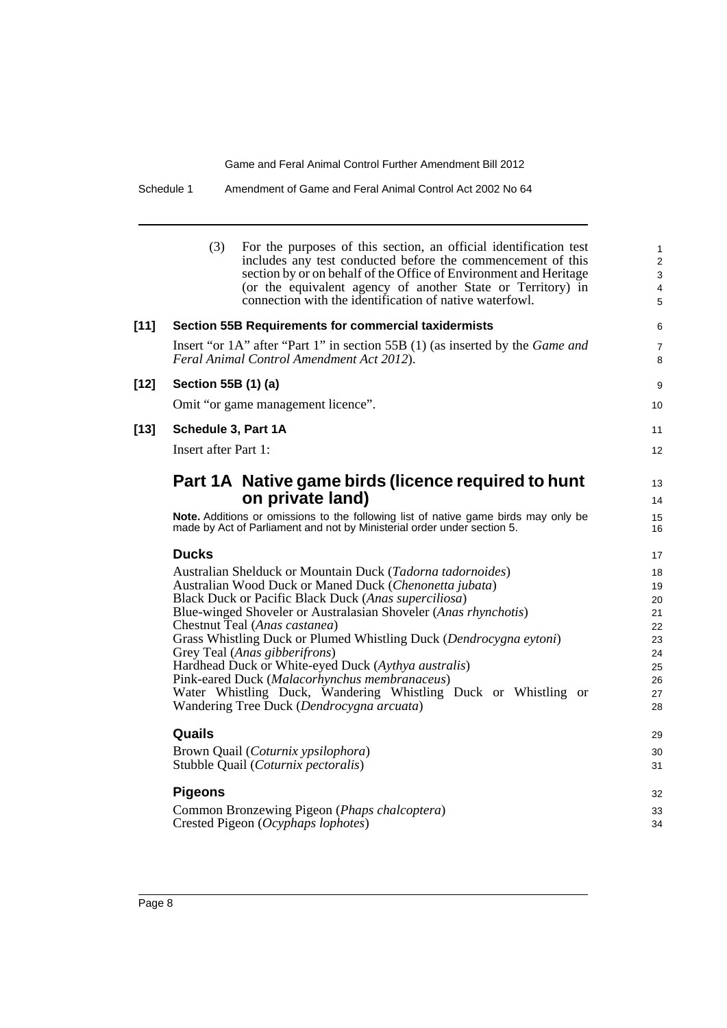Schedule 1 Amendment of Game and Feral Animal Control Act 2002 No 64

|        | (3)                         | For the purposes of this section, an official identification test<br>includes any test conducted before the commencement of this<br>section by or on behalf of the Office of Environment and Heritage<br>(or the equivalent agency of another State or Territory) in<br>connection with the identification of native waterfowl. | 1<br>$\overline{c}$<br>3<br>4<br>5 |
|--------|-----------------------------|---------------------------------------------------------------------------------------------------------------------------------------------------------------------------------------------------------------------------------------------------------------------------------------------------------------------------------|------------------------------------|
| [11]   |                             | <b>Section 55B Requirements for commercial taxidermists</b>                                                                                                                                                                                                                                                                     | 6                                  |
|        |                             | Insert "or 1A" after "Part 1" in section 55B (1) (as inserted by the <i>Game and</i><br>Feral Animal Control Amendment Act 2012).                                                                                                                                                                                               | 7<br>8                             |
| $[12]$ | Section 55B (1) (a)         |                                                                                                                                                                                                                                                                                                                                 | 9                                  |
|        |                             | Omit "or game management licence".                                                                                                                                                                                                                                                                                              | 10                                 |
| $[13]$ | Schedule 3, Part 1A         |                                                                                                                                                                                                                                                                                                                                 | 11                                 |
|        | <b>Insert after Part 1:</b> |                                                                                                                                                                                                                                                                                                                                 | 12                                 |
|        |                             | Part 1A Native game birds (licence required to hunt<br>on private land)<br>Note. Additions or omissions to the following list of native game birds may only be<br>made by Act of Parliament and not by Ministerial order under section 5.                                                                                       | 13<br>14<br>15<br>16               |
|        |                             |                                                                                                                                                                                                                                                                                                                                 |                                    |
|        | <b>Ducks</b>                |                                                                                                                                                                                                                                                                                                                                 | 17                                 |
|        |                             | Australian Shelduck or Mountain Duck (Tadorna tadornoides)<br>Australian Wood Duck or Maned Duck (Chenonetta jubata)                                                                                                                                                                                                            | 18<br>19                           |
|        |                             | Black Duck or Pacific Black Duck (Anas superciliosa)                                                                                                                                                                                                                                                                            | 20                                 |
|        |                             | Blue-winged Shoveler or Australasian Shoveler (Anas rhynchotis)                                                                                                                                                                                                                                                                 | 21                                 |
|        |                             | Chestnut Teal (Anas castanea)                                                                                                                                                                                                                                                                                                   | 22                                 |
|        |                             | Grass Whistling Duck or Plumed Whistling Duck (Dendrocygna eytoni)                                                                                                                                                                                                                                                              | 23                                 |
|        |                             | Grey Teal (Anas gibberifrons)<br>Hardhead Duck or White-eyed Duck (Aythya australis)                                                                                                                                                                                                                                            | 24<br>25                           |
|        |                             | Pink-eared Duck (Malacorhynchus membranaceus)                                                                                                                                                                                                                                                                                   | 26                                 |
|        |                             | Water Whistling Duck, Wandering Whistling Duck or Whistling or                                                                                                                                                                                                                                                                  | 27                                 |
|        |                             | Wandering Tree Duck (Dendrocygna arcuata)                                                                                                                                                                                                                                                                                       | 28                                 |
|        | Quails                      |                                                                                                                                                                                                                                                                                                                                 | 29                                 |
|        |                             | Brown Quail (Coturnix ypsilophora)                                                                                                                                                                                                                                                                                              | 30                                 |
|        |                             | Stubble Quail (Coturnix pectoralis)                                                                                                                                                                                                                                                                                             | 31                                 |
|        | <b>Pigeons</b>              |                                                                                                                                                                                                                                                                                                                                 | 32                                 |
|        |                             | Common Bronzewing Pigeon (Phaps chalcoptera)                                                                                                                                                                                                                                                                                    | 33                                 |
|        |                             | Crested Pigeon (Ocyphaps lophotes)                                                                                                                                                                                                                                                                                              | 34                                 |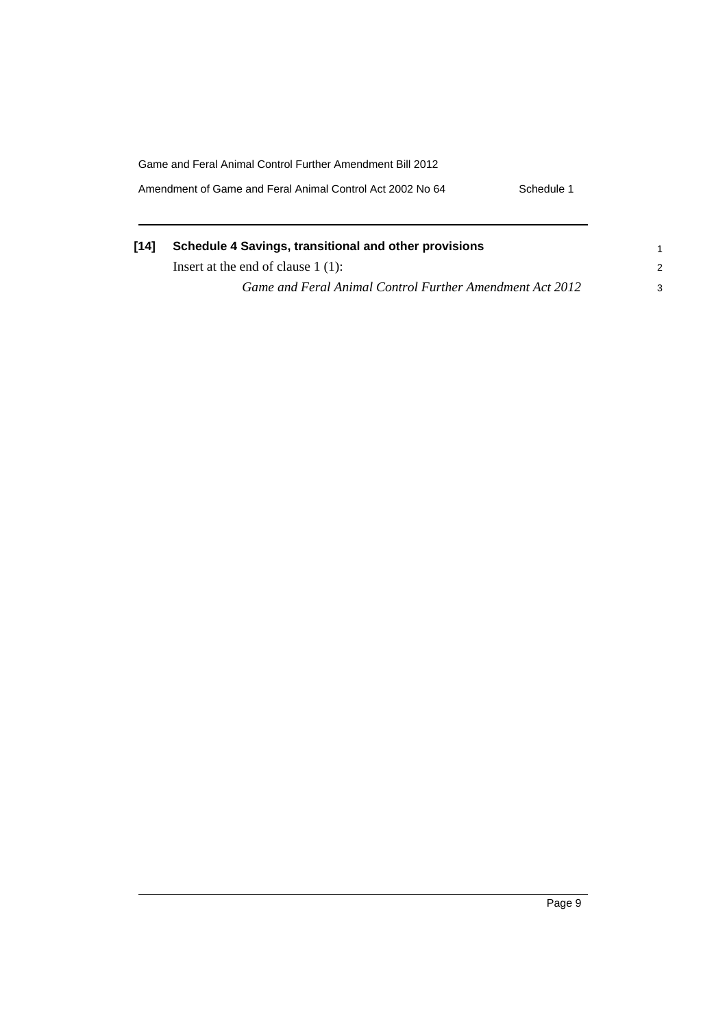Game and Feral Animal Control Further Amendment Bill 2012 Amendment of Game and Feral Animal Control Act 2002 No 64 Schedule 1

| [14] | Schedule 4 Savings, transitional and other provisions    |   |
|------|----------------------------------------------------------|---|
|      | Insert at the end of clause $1(1)$ :                     |   |
|      | Game and Feral Animal Control Further Amendment Act 2012 | 3 |